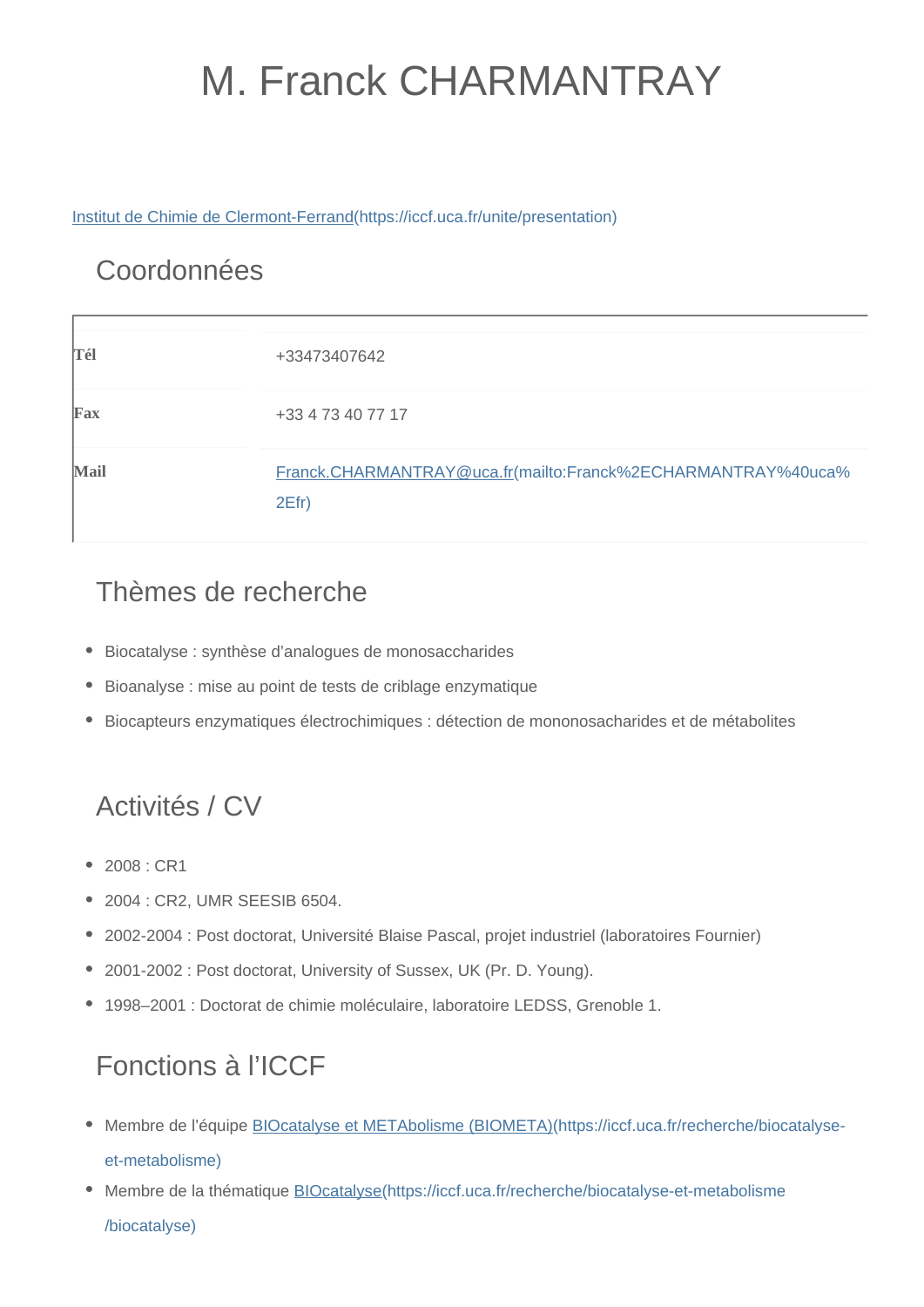# M. Franck CHARMANTRAY

[Institut de Chimie de Clermont-Ferrand\(https://iccf.uca.fr/unite/presentation\)](https://iccf.uca.fr/unite/presentation)

### Coordonnées

| Tél         | +33473407642                                                             |
|-------------|--------------------------------------------------------------------------|
| Fax         | +33 4 73 40 77 17                                                        |
| <b>Mail</b> | Franck.CHARMANTRAY@uca.fr(mailto:Franck%2ECHARMANTRAY%40uca%<br>$2Efr$ ) |

### Thèmes de recherche

- Biocatalyse : synthèse d'analogues de monosaccharides
- Bioanalyse : mise au point de tests de criblage enzymatique
- Biocapteurs enzymatiques électrochimiques : détection de mononosacharides et de métabolites

# Activités / CV

- 2008 : CR1
- 2004 : CR2, UMR SEESIB 6504.
- 2002-2004 : Post doctorat, Université Blaise Pascal, projet industriel (laboratoires Fournier)
- 2001-2002 : Post doctorat, University of Sussex, UK (Pr. D. Young).
- 1998–2001 : Doctorat de chimie moléculaire, laboratoire LEDSS, Grenoble 1.

# Fonctions à l'ICCF

- Membre de l'équipe **BIOcatalyse et METAbolisme** (BIOMETA)(https://iccf.uca.fr/recherche/biocatalyse[et-metabolisme\)](https://iccf.uca.fr/recherche/biocatalyse-et-metabolisme)
- Membre de la thématique **BIOcatalyse**(https://iccf.uca.fr/recherche/biocatalyse-et-metabolisme [/biocatalyse\)](https://iccf.uca.fr/recherche/biocatalyse-et-metabolisme/biocatalyse)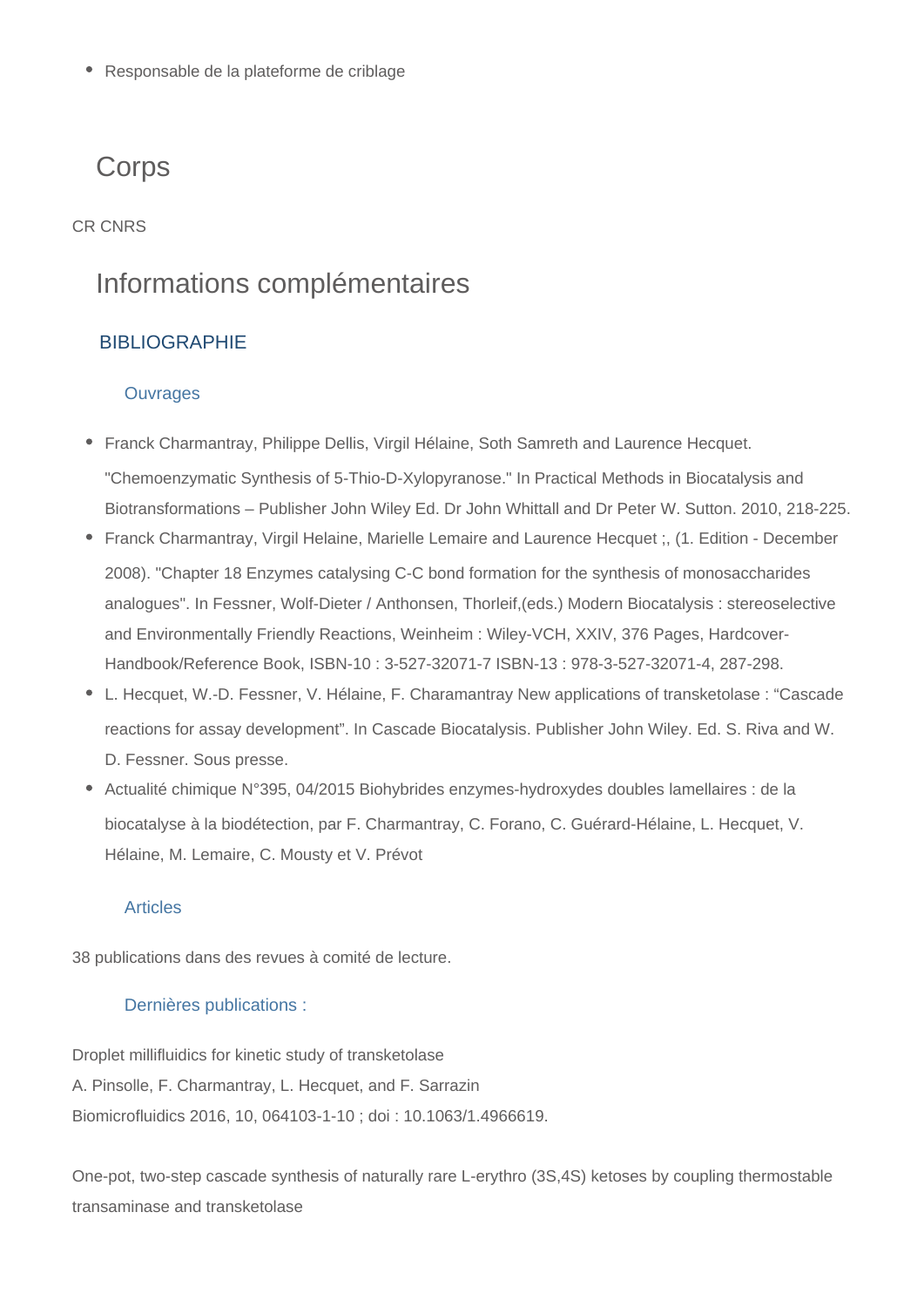Responsable de la plateforme de criblage

### **Corps**

#### CR CNRS

### Informations complémentaires

#### BIBLIOGRAPHIE

#### **Ouvrages**

- Franck Charmantray, Philippe Dellis, Virgil Hélaine, Soth Samreth and Laurence Hecquet. "Chemoenzymatic Synthesis of 5-Thio-D-Xylopyranose." In Practical Methods in Biocatalysis and Biotransformations – Publisher John Wiley Ed. Dr John Whittall and Dr Peter W. Sutton. 2010, 218-225.
- Franck Charmantray, Virgil Helaine, Marielle Lemaire and Laurence Hecquet ;, (1. Edition December 2008). "Chapter 18 Enzymes catalysing C-C bond formation for the synthesis of monosaccharides analogues". In Fessner, Wolf-Dieter / Anthonsen, Thorleif,(eds.) Modern Biocatalysis : stereoselective and Environmentally Friendly Reactions, Weinheim : Wiley-VCH, XXIV, 376 Pages, Hardcover-Handbook/Reference Book, ISBN-10 : 3-527-32071-7 ISBN-13 : 978-3-527-32071-4, 287-298.
- L. Hecquet, W.-D. Fessner, V. Hélaine, F. Charamantray New applications of transketolase : "Cascade reactions for assay development". In Cascade Biocatalysis. Publisher John Wiley. Ed. S. Riva and W. D. Fessner. Sous presse.
- Actualité chimique N°395, 04/2015 Biohybrides enzymes-hydroxydes doubles lamellaires : de la biocatalyse à la biodétection, par F. Charmantray, C. Forano, C. Guérard-Hélaine, L. Hecquet, V. Hélaine, M. Lemaire, C. Mousty et V. Prévot

#### Articles

38 publications dans des revues à comité de lecture.

#### Dernières publications :

Droplet millifluidics for kinetic study of transketolase A. Pinsolle, F. Charmantray, L. Hecquet, and F. Sarrazin Biomicrofluidics 2016, 10, 064103-1-10 ; doi : 10.1063/1.4966619.

One-pot, two-step cascade synthesis of naturally rare L-erythro (3S,4S) ketoses by coupling thermostable transaminase and transketolase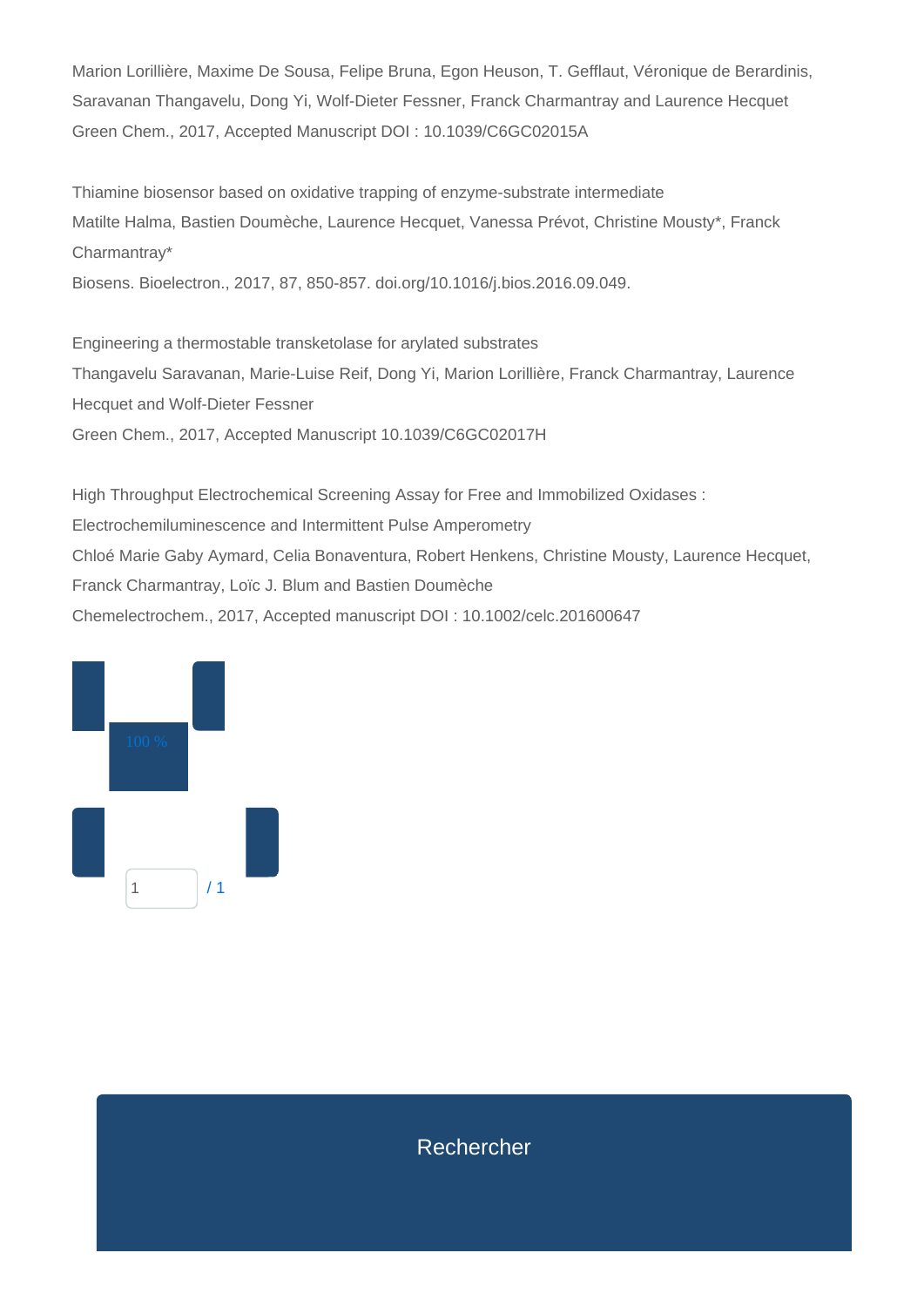Marion Lorillière, Maxime De Sousa, Felipe Bruna, Egon Heuson, T. Gefflaut, Véronique de Berardinis, Saravanan Thangavelu, Dong Yi, Wolf-Dieter Fessner, Franck Charmantray and Laurence Hecquet Green Chem., 2017, Accepted Manuscript DOI : 10.1039/C6GC02015A

Thiamine biosensor based on oxidative trapping of enzyme-substrate intermediate Matilte Halma, Bastien Doumèche, Laurence Hecquet, Vanessa Prévot, Christine Mousty\*, Franck Charmantray\*

Biosens. Bioelectron., 2017, 87, 850-857. doi.org/10.1016/j.bios.2016.09.049.

Engineering a thermostable transketolase for arylated substrates Thangavelu Saravanan, Marie-Luise Reif, Dong Yi, Marion Lorillière, Franck Charmantray, Laurence Hecquet and Wolf-Dieter Fessner Green Chem., 2017, Accepted Manuscript 10.1039/C6GC02017H

High Throughput Electrochemical Screening Assay for Free and Immobilized Oxidases : Electrochemiluminescence and Intermittent Pulse Amperometry Chloé Marie Gaby Aymard, Celia Bonaventura, Robert Henkens, Christine Mousty, Laurence Hecquet, Franck Charmantray, Loïc J. Blum and Bastien Doumèche Chemelectrochem., 2017, Accepted manuscript DOI : 10.1002/celc.201600647



Rechercher